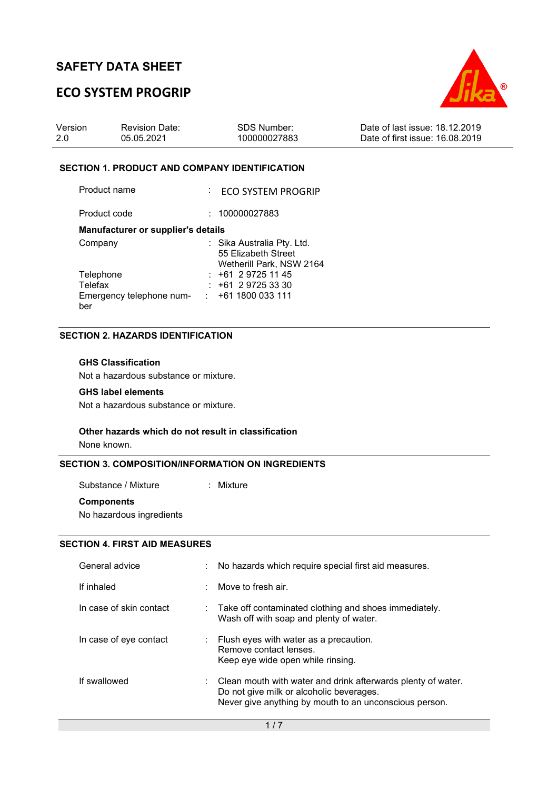# **ECO SYSTEM PROGRIP**



| Version | <b>Revision Date:</b> | SDS Number:  | Date of last issue: 18.12.2019  |
|---------|-----------------------|--------------|---------------------------------|
| 2.0     | 05.05.2021            | 100000027883 | Date of first issue: 16.08.2019 |

### **SECTION 1. PRODUCT AND COMPANY IDENTIFICATION**

Product name : ECO SYSTEM PROGRIP Product code : 100000027883

### **Manufacturer or supplier's details**

| Company                  | : Sika Australia Pty. Ltd. |
|--------------------------|----------------------------|
|                          | 55 Elizabeth Street        |
|                          | Wetherill Park, NSW 2164   |
| Telephone                | $: +61297251145$           |
| Telefax                  | $: +61297253330$           |
| Emergency telephone num- | $: +611800033111$          |
| ber                      |                            |

## **SECTION 2. HAZARDS IDENTIFICATION**

## **GHS Classification**

Not a hazardous substance or mixture.

### **GHS label elements**

Not a hazardous substance or mixture.

### **Other hazards which do not result in classification**

None known.

### **SECTION 3. COMPOSITION/INFORMATION ON INGREDIENTS**

Substance / Mixture : Mixture **Components** 

No hazardous ingredients

## **SECTION 4. FIRST AID MEASURES**

| General advice          | No hazards which require special first aid measures.                                                                                                                            |
|-------------------------|---------------------------------------------------------------------------------------------------------------------------------------------------------------------------------|
| If inhaled              | Move to fresh air.                                                                                                                                                              |
| In case of skin contact | $\therefore$ Take off contaminated clothing and shoes immediately.<br>Wash off with soap and plenty of water.                                                                   |
| In case of eye contact  | $\therefore$ Flush eyes with water as a precaution.<br>Remove contact lenses.<br>Keep eye wide open while rinsing.                                                              |
| If swallowed            | $\therefore$ Clean mouth with water and drink afterwards plenty of water.<br>Do not give milk or alcoholic beverages.<br>Never give anything by mouth to an unconscious person. |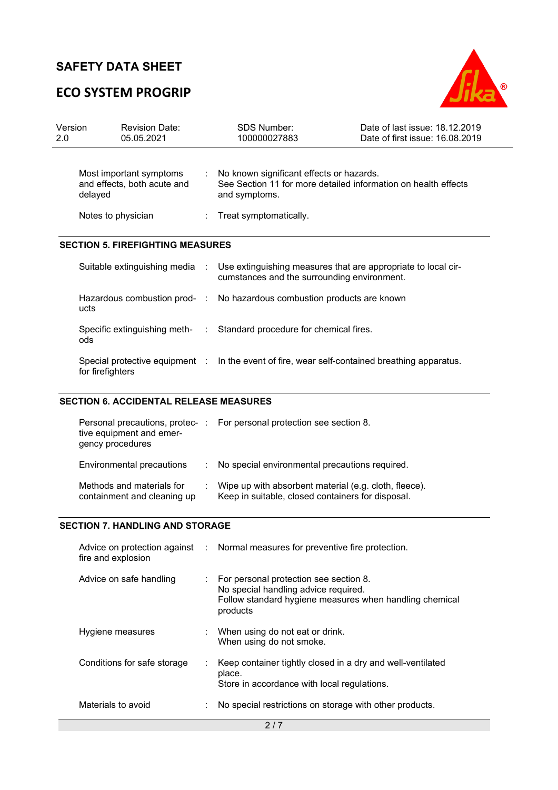# **ECO SYSTEM PROGRIP**



| Version<br>2.0 | <b>Revision Date:</b><br>05.05.2021                               | <b>SDS Number:</b><br>100000027883                                                                                          | Date of last issue: 18.12.2019<br>Date of first issue: 16.08.2019 |
|----------------|-------------------------------------------------------------------|-----------------------------------------------------------------------------------------------------------------------------|-------------------------------------------------------------------|
|                | Most important symptoms<br>and effects, both acute and<br>delayed | No known significant effects or hazards.<br>See Section 11 for more detailed information on health effects<br>and symptoms. |                                                                   |
|                | Notes to physician                                                | Treat symptomatically.                                                                                                      |                                                                   |
|                | <b>SECTION 5. FIREFIGHTING MEASURES</b>                           |                                                                                                                             |                                                                   |
|                | Suitable extinguishing media :                                    | Use extinguishing measures that are appropriate to local cir-<br>cumstances and the surrounding environment.                |                                                                   |
|                | ucts                                                              | Hazardous combustion prod- : No hazardous combustion products are known                                                     |                                                                   |
|                | ods                                                               | Specific extinguishing meth- : Standard procedure for chemical fires.                                                       |                                                                   |
|                | Special protective equipment :                                    | In the event of fire, wear self-contained breathing apparatus.                                                              |                                                                   |

## **SECTION 6. ACCIDENTAL RELEASE MEASURES**

for firefighters

| tive equipment and emer-<br>gency procedures             | Personal precautions, protec-: For personal protection see section 8.                                      |
|----------------------------------------------------------|------------------------------------------------------------------------------------------------------------|
| Environmental precautions                                | : No special environmental precautions required.                                                           |
| Methods and materials for<br>containment and cleaning up | Wipe up with absorbent material (e.g. cloth, fleece).<br>Keep in suitable, closed containers for disposal. |

## **SECTION 7. HANDLING AND STORAGE**

| fire and explosion          | Advice on protection against : Normal measures for preventive fire protection.                                                                                     |
|-----------------------------|--------------------------------------------------------------------------------------------------------------------------------------------------------------------|
| Advice on safe handling     | $\therefore$ For personal protection see section 8.<br>No special handling advice required.<br>Follow standard hygiene measures when handling chemical<br>products |
| Hygiene measures            | : When using do not eat or drink.<br>When using do not smoke.                                                                                                      |
| Conditions for safe storage | Keep container tightly closed in a dry and well-ventilated<br>place.<br>Store in accordance with local regulations.                                                |
| Materials to avoid          | No special restrictions on storage with other products.                                                                                                            |
|                             | 2/7                                                                                                                                                                |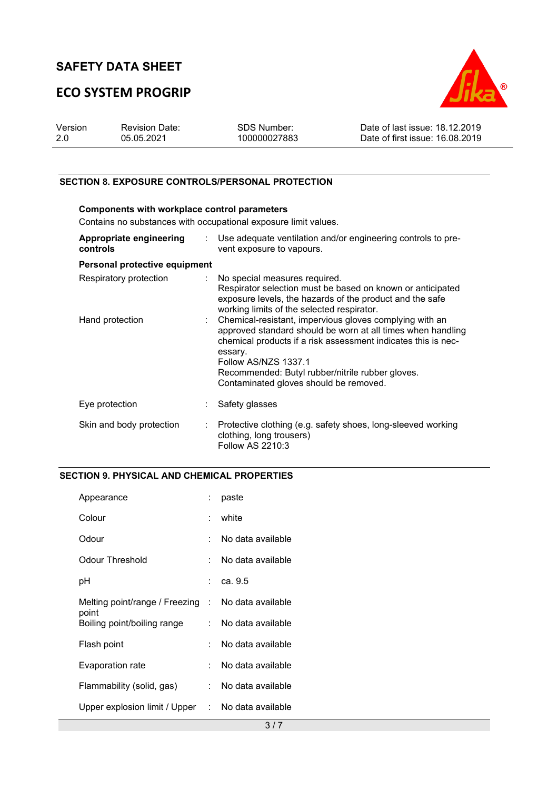# **ECO SYSTEM PROGRIP**



| Version | <b>Revision Date:</b> | SDS Number:  | Date of last issue: 18.12.2019  |
|---------|-----------------------|--------------|---------------------------------|
| 2.0     | 05.05.2021            | 100000027883 | Date of first issue: 16.08.2019 |

## **SECTION 8. EXPOSURE CONTROLS/PERSONAL PROTECTION**

| Components with workplace control parameters<br>Contains no substances with occupational exposure limit values. |                           |                                                                                                                                                                                                                                                                                                                            |  |  |  |
|-----------------------------------------------------------------------------------------------------------------|---------------------------|----------------------------------------------------------------------------------------------------------------------------------------------------------------------------------------------------------------------------------------------------------------------------------------------------------------------------|--|--|--|
| Appropriate engineering<br>controls                                                                             | $\mathbb{R}^{\mathbb{Z}}$ | Use adequate ventilation and/or engineering controls to pre-<br>vent exposure to vapours.                                                                                                                                                                                                                                  |  |  |  |
| Personal protective equipment                                                                                   |                           |                                                                                                                                                                                                                                                                                                                            |  |  |  |
| Respiratory protection                                                                                          |                           | : No special measures required.<br>Respirator selection must be based on known or anticipated<br>exposure levels, the hazards of the product and the safe<br>working limits of the selected respirator.                                                                                                                    |  |  |  |
| Hand protection                                                                                                 |                           | : Chemical-resistant, impervious gloves complying with an<br>approved standard should be worn at all times when handling<br>chemical products if a risk assessment indicates this is nec-<br>essary.<br>Follow AS/NZS 1337.1<br>Recommended: Butyl rubber/nitrile rubber gloves.<br>Contaminated gloves should be removed. |  |  |  |
| Eye protection                                                                                                  |                           | Safety glasses                                                                                                                                                                                                                                                                                                             |  |  |  |
| Skin and body protection                                                                                        |                           | Protective clothing (e.g. safety shoes, long-sleeved working<br>clothing, long trousers)<br>Follow AS 2210:3                                                                                                                                                                                                               |  |  |  |

## **SECTION 9. PHYSICAL AND CHEMICAL PROPERTIES**

| Appearance                                         |                 | paste               |
|----------------------------------------------------|-----------------|---------------------|
| Colour                                             | t.              | white               |
| Odour                                              |                 | No data available   |
| Odour Threshold                                    |                 | No data available   |
| рH                                                 |                 | : ca. 9.5           |
| Melting point/range / Freezing : No data available |                 |                     |
| point<br>Boiling point/boiling range               |                 | : No data available |
| Flash point                                        |                 | No data available   |
| Evaporation rate                                   |                 | No data available   |
| Flammability (solid, gas)                          | <b>Property</b> | No data available   |
| Upper explosion limit / Upper : No data available  |                 |                     |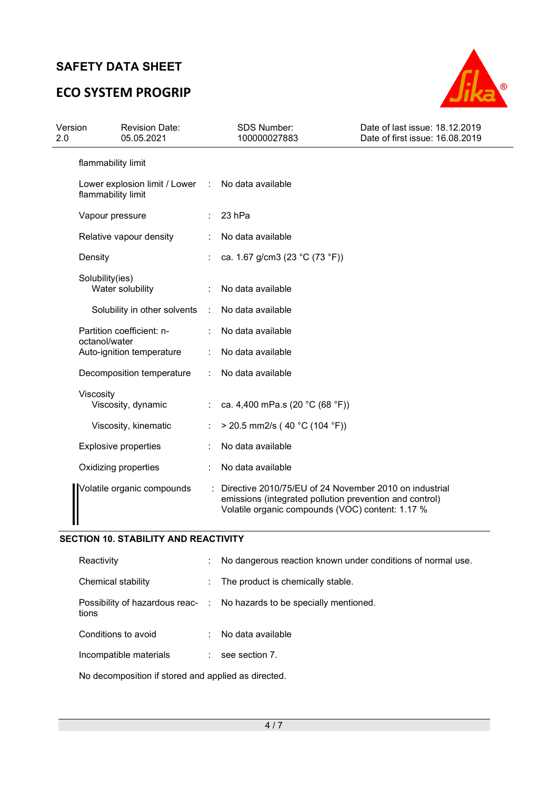# **ECO SYSTEM PROGRIP**



| Version<br>2.0 |                    | <b>Revision Date:</b><br>05.05.2021 |                | <b>SDS Number:</b><br>100000027883                                                                                                                                    | Date of last issue: 18.12.2019<br>Date of first issue: 16.08.2019 |
|----------------|--------------------|-------------------------------------|----------------|-----------------------------------------------------------------------------------------------------------------------------------------------------------------------|-------------------------------------------------------------------|
|                | flammability limit |                                     |                |                                                                                                                                                                       |                                                                   |
|                | flammability limit | Lower explosion limit / Lower :     |                | No data available                                                                                                                                                     |                                                                   |
|                | Vapour pressure    |                                     |                | 23 hPa                                                                                                                                                                |                                                                   |
|                |                    | Relative vapour density             |                | No data available                                                                                                                                                     |                                                                   |
|                | Density            |                                     |                | ca. 1.67 g/cm3 (23 °C (73 °F))                                                                                                                                        |                                                                   |
|                | Solubility(ies)    | Water solubility                    |                | No data available                                                                                                                                                     |                                                                   |
|                |                    | Solubility in other solvents        | $\mathbb{R}^n$ | No data available                                                                                                                                                     |                                                                   |
|                | octanol/water      | Partition coefficient: n-           |                | No data available                                                                                                                                                     |                                                                   |
|                |                    | Auto-ignition temperature           |                | No data available                                                                                                                                                     |                                                                   |
|                |                    | Decomposition temperature           | ÷              | No data available                                                                                                                                                     |                                                                   |
|                | Viscosity          | Viscosity, dynamic                  |                | ca. 4,400 mPa.s (20 °C (68 °F))                                                                                                                                       |                                                                   |
|                |                    | Viscosity, kinematic                |                | $>$ 20.5 mm2/s (40 °C (104 °F))                                                                                                                                       |                                                                   |
|                |                    | <b>Explosive properties</b>         |                | No data available                                                                                                                                                     |                                                                   |
|                |                    | Oxidizing properties                |                | No data available                                                                                                                                                     |                                                                   |
|                |                    | Volatile organic compounds          |                | Directive 2010/75/EU of 24 November 2010 on industrial<br>emissions (integrated pollution prevention and control)<br>Volatile organic compounds (VOC) content: 1.17 % |                                                                   |

## **SECTION 10. STABILITY AND REACTIVITY**

| Reactivity                                | ÷                            | No dangerous reaction known under conditions of normal use. |
|-------------------------------------------|------------------------------|-------------------------------------------------------------|
| Chemical stability                        | $\mathcal{L}_{\mathrm{max}}$ | The product is chemically stable.                           |
| Possibility of hazardous reac- :<br>tions |                              | No hazards to be specially mentioned.                       |
| Conditions to avoid                       |                              | No data available                                           |
| Incompatible materials                    |                              | see section 7.                                              |
|                                           |                              |                                                             |

No decomposition if stored and applied as directed.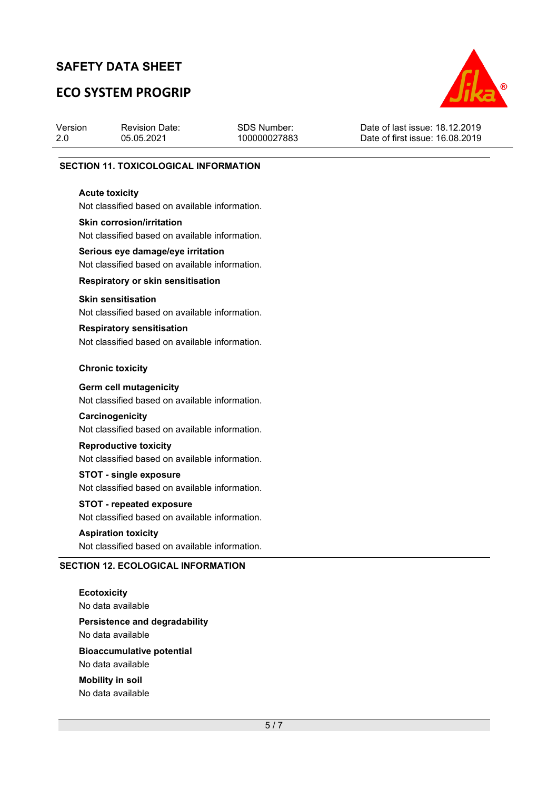# **ECO SYSTEM PROGRIP**



| Version | <b>Revision Date:</b> | SDS Number:  | Date of last issue: 18.12.2019  |
|---------|-----------------------|--------------|---------------------------------|
| 2.0     | 05.05.2021            | 100000027883 | Date of first issue: 16.08.2019 |
|         |                       |              |                                 |

### **SECTION 11. TOXICOLOGICAL INFORMATION**

### **Acute toxicity**

Not classified based on available information.

### **Skin corrosion/irritation**

Not classified based on available information.

# **Serious eye damage/eye irritation**

Not classified based on available information.

## **Respiratory or skin sensitisation**

### **Skin sensitisation**

Not classified based on available information.

# **Respiratory sensitisation**

Not classified based on available information.

### **Chronic toxicity**

### **Germ cell mutagenicity**

Not classified based on available information.

### **Carcinogenicity**

Not classified based on available information.

## **Reproductive toxicity**

Not classified based on available information.

### **STOT - single exposure**

Not classified based on available information.

# **STOT - repeated exposure**

Not classified based on available information.

## **Aspiration toxicity**

Not classified based on available information.

### **SECTION 12. ECOLOGICAL INFORMATION**

**Ecotoxicity**  No data available **Persistence and degradability**  No data available **Bioaccumulative potential**  No data available

**Mobility in soil**  No data available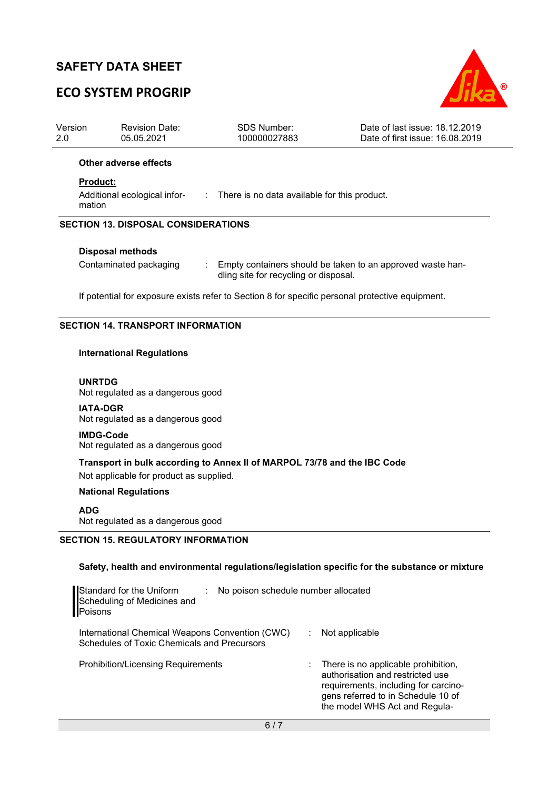# **ECO SYSTEM PROGRIP**



| Version<br>2.0                             |                                                                                                                               | <b>Revision Date:</b><br>05.05.2021 | SDS Number:<br>100000027883 | Date of last issue: 18.12.2019<br>Date of first issue: 16.08.2019 |  |  |  |  |  |
|--------------------------------------------|-------------------------------------------------------------------------------------------------------------------------------|-------------------------------------|-----------------------------|-------------------------------------------------------------------|--|--|--|--|--|
|                                            | Other adverse effects                                                                                                         |                                     |                             |                                                                   |  |  |  |  |  |
|                                            | <b>Product:</b><br>Additional ecological infor-<br>: There is no data available for this product.<br>mation                   |                                     |                             |                                                                   |  |  |  |  |  |
| <b>SECTION 13. DISPOSAL CONSIDERATIONS</b> |                                                                                                                               |                                     |                             |                                                                   |  |  |  |  |  |
|                                            | <b>Disposal methods</b>                                                                                                       |                                     |                             |                                                                   |  |  |  |  |  |
|                                            | Contaminated packaging<br>Empty containers should be taken to an approved waste han-<br>dling site for recycling or disposal. |                                     |                             |                                                                   |  |  |  |  |  |
|                                            | If potential for exposure exists refer to Section 8 for specific personal protective equipment.                               |                                     |                             |                                                                   |  |  |  |  |  |
| <b>SECTION 14. TRANSPORT INFORMATION</b>   |                                                                                                                               |                                     |                             |                                                                   |  |  |  |  |  |
|                                            |                                                                                                                               | <b>International Regulations</b>    |                             |                                                                   |  |  |  |  |  |

# **UNRTDG**

Not regulated as a dangerous good

#### **IATA-DGR**

Not regulated as a dangerous good

**IMDG-Code** Not regulated as a dangerous good

**Transport in bulk according to Annex II of MARPOL 73/78 and the IBC Code**  Not applicable for product as supplied.

### **National Regulations**

### **ADG**

Not regulated as a dangerous good

## **SECTION 15. REGULATORY INFORMATION**

## **Safety, health and environmental regulations/legislation specific for the substance or mixture**

| Standard for the Uniform<br>No poison schedule number allocated<br>Scheduling of Medicines and<br>Poisons |                                                                                                                                                                                          |
|-----------------------------------------------------------------------------------------------------------|------------------------------------------------------------------------------------------------------------------------------------------------------------------------------------------|
| International Chemical Weapons Convention (CWC)<br>Schedules of Toxic Chemicals and Precursors            | Not applicable                                                                                                                                                                           |
| <b>Prohibition/Licensing Requirements</b>                                                                 | : There is no applicable prohibition,<br>authorisation and restricted use<br>requirements, including for carcino-<br>gens referred to in Schedule 10 of<br>the model WHS Act and Regula- |